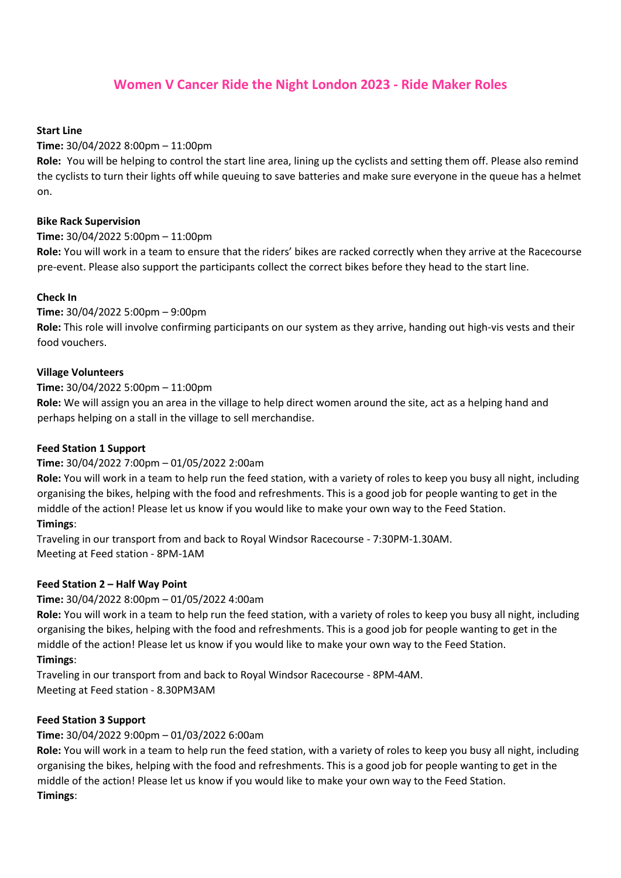# **Women V Cancer Ride the Night London 2023 - Ride Maker Roles**

#### **Start Line**

### **Time:** 30/04/2022 8:00pm – 11:00pm

**Role:** You will be helping to control the start line area, lining up the cyclists and setting them off. Please also remind the cyclists to turn their lights off while queuing to save batteries and make sure everyone in the queue has a helmet on.

#### **Bike Rack Supervision**

### **Time:** 30/04/2022 5:00pm – 11:00pm

**Role:** You will work in a team to ensure that the riders' bikes are racked correctly when they arrive at the Racecourse pre-event. Please also support the participants collect the correct bikes before they head to the start line.

### **Check In**

### **Time:** 30/04/2022 5:00pm – 9:00pm

**Role:** This role will involve confirming participants on our system as they arrive, handing out high-vis vests and their food vouchers.

### **Village Volunteers**

### **Time:** 30/04/2022 5:00pm – 11:00pm

**Role:** We will assign you an area in the village to help direct women around the site, act as a helping hand and perhaps helping on a stall in the village to sell merchandise.

#### **Feed Station 1 Support**

### **Time:** 30/04/2022 7:00pm – 01/05/2022 2:00am

**Role:** You will work in a team to help run the feed station, with a variety of roles to keep you busy all night, including organising the bikes, helping with the food and refreshments. This is a good job for people wanting to get in the middle of the action! Please let us know if you would like to make your own way to the Feed Station.

### **Timings**:

Traveling in our transport from and back to Royal Windsor Racecourse - 7:30PM-1.30AM. Meeting at Feed station - 8PM-1AM

#### **Feed Station 2 – Half Way Point**

#### **Time:** 30/04/2022 8:00pm – 01/05/2022 4:00am

**Role:** You will work in a team to help run the feed station, with a variety of roles to keep you busy all night, including organising the bikes, helping with the food and refreshments. This is a good job for people wanting to get in the middle of the action! Please let us know if you would like to make your own way to the Feed Station.

### **Timings**:

Traveling in our transport from and back to Royal Windsor Racecourse - 8PM-4AM. Meeting at Feed station - 8.30PM3AM

#### **Feed Station 3 Support**

### **Time:** 30/04/2022 9:00pm – 01/03/2022 6:00am

**Role:** You will work in a team to help run the feed station, with a variety of roles to keep you busy all night, including organising the bikes, helping with the food and refreshments. This is a good job for people wanting to get in the middle of the action! Please let us know if you would like to make your own way to the Feed Station. **Timings**: